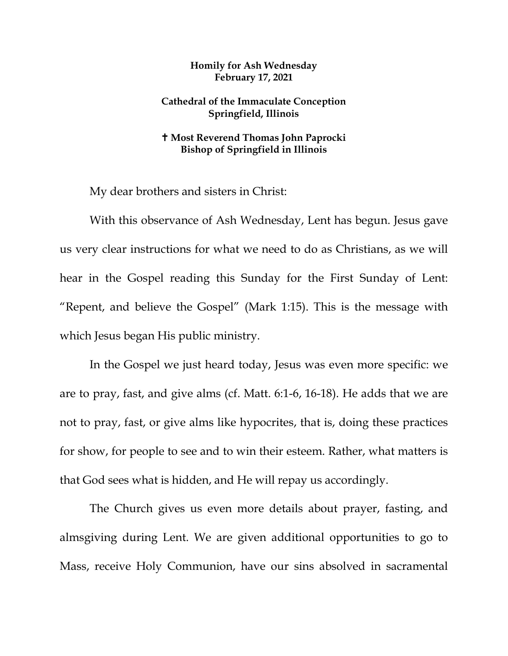## **Homily for Ash Wednesday February 17, 2021**

## **Cathedral of the Immaculate Conception Springfield, Illinois**

## **Most Reverend Thomas John Paprocki Bishop of Springfield in Illinois**

My dear brothers and sisters in Christ:

With this observance of Ash Wednesday, Lent has begun. Jesus gave us very clear instructions for what we need to do as Christians, as we will hear in the Gospel reading this Sunday for the First Sunday of Lent: "Repent, and believe the Gospel" (Mark 1:15). This is the message with which Jesus began His public ministry.

In the Gospel we just heard today, Jesus was even more specific: we are to pray, fast, and give alms (cf. Matt. 6:1-6, 16-18). He adds that we are not to pray, fast, or give alms like hypocrites, that is, doing these practices for show, for people to see and to win their esteem. Rather, what matters is that God sees what is hidden, and He will repay us accordingly.

The Church gives us even more details about prayer, fasting, and almsgiving during Lent. We are given additional opportunities to go to Mass, receive Holy Communion, have our sins absolved in sacramental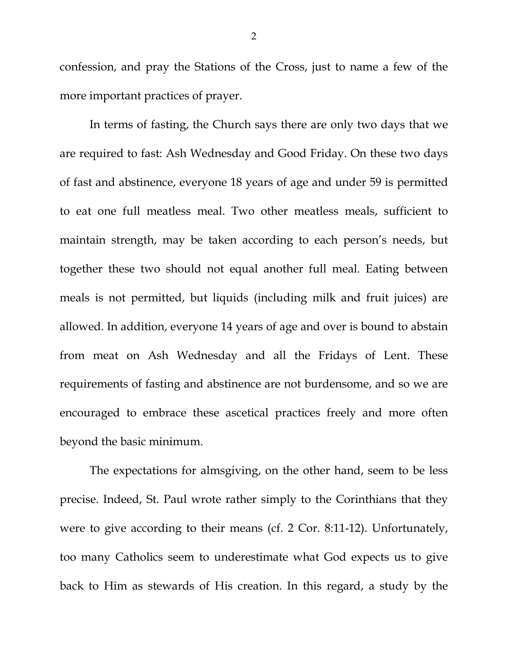confession, and pray the Stations of the Cross, just to name a few of the more important practices of prayer.

In terms of fasting, the Church says there are only two days that we are required to fast: Ash Wednesday and Good Friday. On these two days of fast and abstinence, everyone 18 years of age and under 59 is permitted to eat one full meatless meal. Two other meatless meals, sufficient to maintain strength, may be taken according to each person's needs, but together these two should not equal another full meal. Eating between meals is not permitted, but liquids (including milk and fruit juices) are allowed. In addition, everyone 14 years of age and over is bound to abstain from meat on Ash Wednesday and all the Fridays of Lent. These requirements of fasting and abstinence are not burdensome, and so we are encouraged to embrace these ascetical practices freely and more often beyond the basic minimum.

The expectations for almsgiving, on the other hand, seem to be less precise. Indeed, St. Paul wrote rather simply to the Corinthians that they were to give according to their means (cf. 2 Cor. 8:11-12). Unfortunately, too many Catholics seem to underestimate what God expects us to give back to Him as stewards of His creation. In this regard, a study by the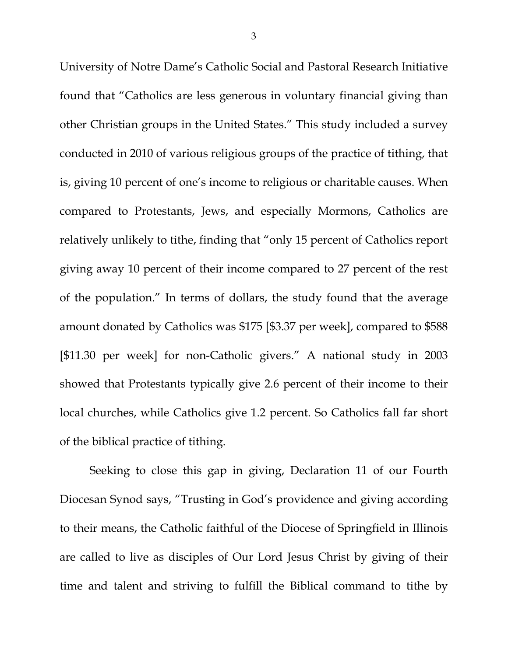University of Notre Dame's Catholic Social and Pastoral Research Initiative found that "Catholics are less generous in voluntary financial giving than other Christian groups in the United States." This study included a survey conducted in 2010 of various religious groups of the practice of tithing, that is, giving 10 percent of one's income to religious or charitable causes. When compared to Protestants, Jews, and especially Mormons, Catholics are relatively unlikely to tithe, finding that "only 15 percent of Catholics report giving away 10 percent of their income compared to 27 percent of the rest of the population." In terms of dollars, the study found that the average amount donated by Catholics was \$175 [\$3.37 per week], compared to \$588 [\$11.30 per week] for non-Catholic givers." A national study in 2003 showed that Protestants typically give 2.6 percent of their income to their local churches, while Catholics give 1.2 percent. So Catholics fall far short of the biblical practice of tithing.

Seeking to close this gap in giving, Declaration 11 of our Fourth Diocesan Synod says, "Trusting in God's providence and giving according to their means, the Catholic faithful of the Diocese of Springfield in Illinois are called to live as disciples of Our Lord Jesus Christ by giving of their time and talent and striving to fulfill the Biblical command to tithe by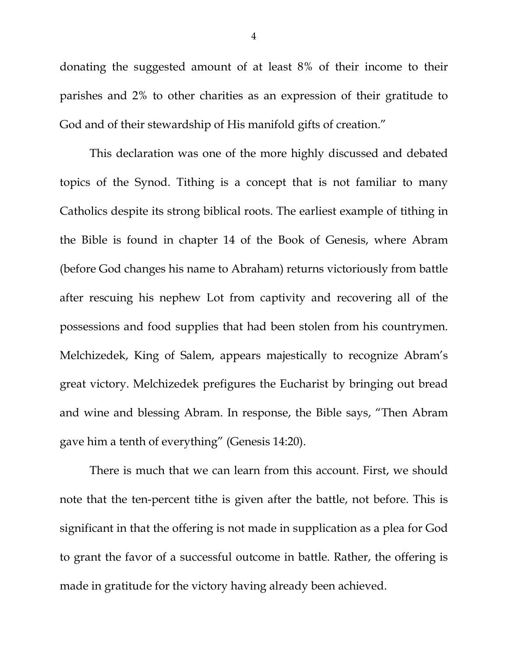donating the suggested amount of at least 8% of their income to their parishes and 2% to other charities as an expression of their gratitude to God and of their stewardship of His manifold gifts of creation."

This declaration was one of the more highly discussed and debated topics of the Synod. Tithing is a concept that is not familiar to many Catholics despite its strong biblical roots. The earliest example of tithing in the Bible is found in chapter 14 of the Book of Genesis, where Abram (before God changes his name to Abraham) returns victoriously from battle after rescuing his nephew Lot from captivity and recovering all of the possessions and food supplies that had been stolen from his countrymen. Melchizedek, King of Salem, appears majestically to recognize Abram's great victory. Melchizedek prefigures the Eucharist by bringing out bread and wine and blessing Abram. In response, the Bible says, "Then Abram gave him a tenth of everything" (Genesis 14:20).

There is much that we can learn from this account. First, we should note that the ten-percent tithe is given after the battle, not before. This is significant in that the offering is not made in supplication as a plea for God to grant the favor of a successful outcome in battle. Rather, the offering is made in gratitude for the victory having already been achieved.

4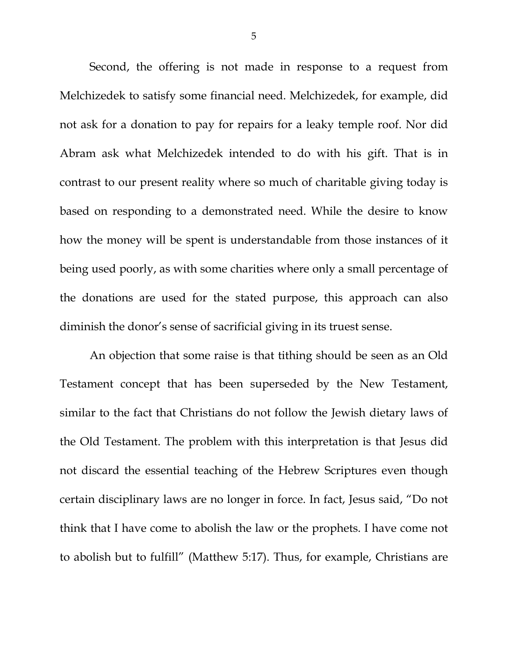Second, the offering is not made in response to a request from Melchizedek to satisfy some financial need. Melchizedek, for example, did not ask for a donation to pay for repairs for a leaky temple roof. Nor did Abram ask what Melchizedek intended to do with his gift. That is in contrast to our present reality where so much of charitable giving today is based on responding to a demonstrated need. While the desire to know how the money will be spent is understandable from those instances of it being used poorly, as with some charities where only a small percentage of the donations are used for the stated purpose, this approach can also diminish the donor's sense of sacrificial giving in its truest sense.

An objection that some raise is that tithing should be seen as an Old Testament concept that has been superseded by the New Testament, similar to the fact that Christians do not follow the Jewish dietary laws of the Old Testament. The problem with this interpretation is that Jesus did not discard the essential teaching of the Hebrew Scriptures even though certain disciplinary laws are no longer in force. In fact, Jesus said, "Do not think that I have come to abolish the law or the prophets. I have come not to abolish but to fulfill" (Matthew 5:17). Thus, for example, Christians are